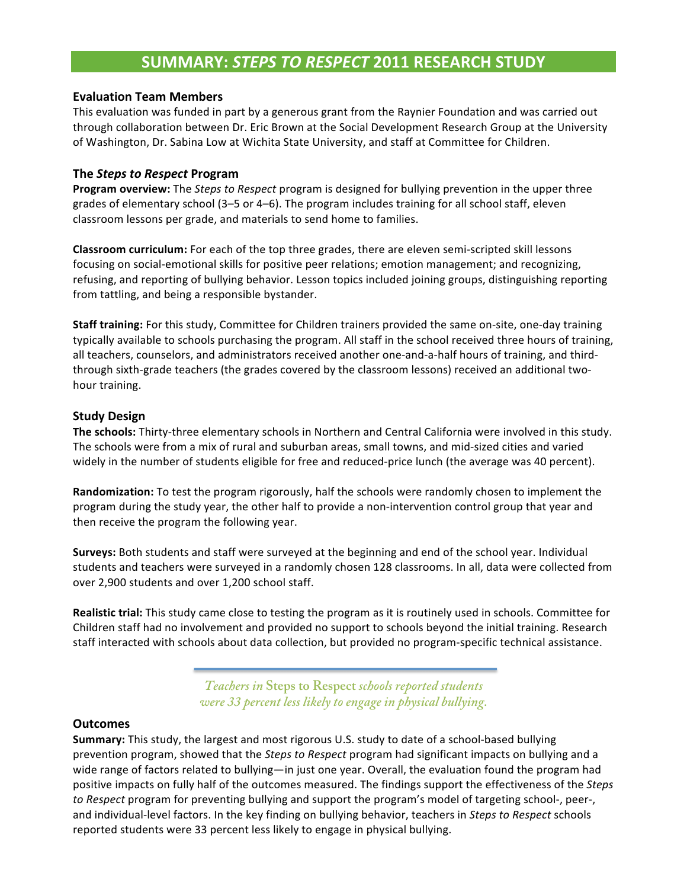# **SUMMARY: STEPS TO RESPECT 2011 RESEARCH STUDY**

### **Evaluation Team Members**

This evaluation was funded in part by a generous grant from the Raynier Foundation and was carried out through collaboration between Dr. Eric Brown at the Social Development Research Group at the University of Washington, Dr. Sabina Low at Wichita State University, and staff at Committee for Children.

## **The Steps to Respect Program**

**Program overview:** The *Steps to Respect* program is designed for bullying prevention in the upper three grades of elementary school (3–5 or 4–6). The program includes training for all school staff, eleven classroom lessons per grade, and materials to send home to families.

Classroom curriculum: For each of the top three grades, there are eleven semi-scripted skill lessons focusing on social-emotional skills for positive peer relations; emotion management; and recognizing, refusing, and reporting of bullying behavior. Lesson topics included joining groups, distinguishing reporting from tattling, and being a responsible bystander.

**Staff training:** For this study, Committee for Children trainers provided the same on-site, one-day training typically available to schools purchasing the program. All staff in the school received three hours of training, all teachers, counselors, and administrators received another one-and-a-half hours of training, and thirdthrough sixth-grade teachers (the grades covered by the classroom lessons) received an additional twohour training.

## **Study(Design**

The schools: Thirty-three elementary schools in Northern and Central California were involved in this study. The schools were from a mix of rural and suburban areas, small towns, and mid-sized cities and varied widely in the number of students eligible for free and reduced-price lunch (the average was 40 percent).

**Randomization:** To test the program rigorously, half the schools were randomly chosen to implement the program during the study year, the other half to provide a non-intervention control group that year and then receive the program the following year.

**Surveys:** Both students and staff were surveyed at the beginning and end of the school year. Individual students and teachers were surveyed in a randomly chosen 128 classrooms. In all, data were collected from over 2,900 students and over 1,200 school staff.

**Realistic trial:** This study came close to testing the program as it is routinely used in schools. Committee for Children staff had no involvement and provided no support to schools beyond the initial training. Research staff interacted with schools about data collection, but provided no program-specific technical assistance.

> *Teachers in* **Steps to Respect** *schools reported students were 33 percent less likely to engage in physical bullying.*

### **Outcomes**

Summary: This study, the largest and most rigorous U.S. study to date of a school-based bullying prevention program, showed that the *Steps to Respect* program had significant impacts on bullying and a wide range of factors related to bullying—in just one year. Overall, the evaluation found the program had positive impacts on fully half of the outcomes measured. The findings support the effectiveness of the *Steps to Respect* program for preventing bullying and support the program's model of targeting school-, peer-, and individual-level factors. In the key finding on bullying behavior, teachers in Steps to Respect schools reported students were 33 percent less likely to engage in physical bullying.